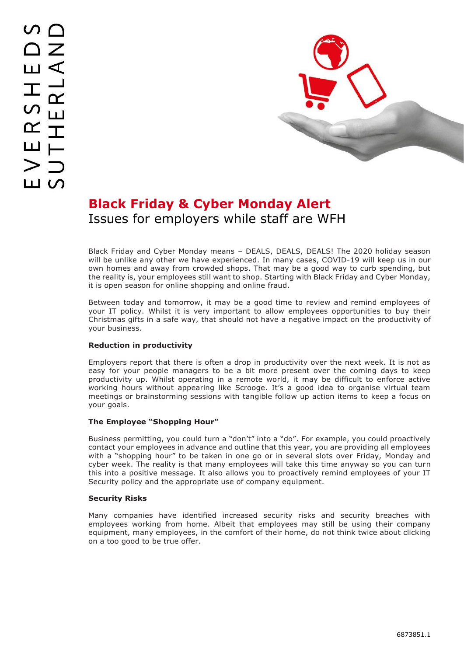

# **Black Friday & Cyber Monday Alert** Issues for employers while staff are WFH

Black Friday and Cyber Monday means – DEALS, DEALS, DEALS! The 2020 holiday season will be unlike any other we have experienced. In many cases, COVID-19 will keep us in our own homes and away from crowded shops. That may be a good way to curb spending, but the reality is, your employees still want to shop. Starting with Black Friday and Cyber Monday, it is open season for online shopping and online fraud.

Between today and tomorrow, it may be a good time to review and remind employees of your IT policy. Whilst it is very important to allow employees opportunities to buy their Christmas gifts in a safe way, that should not have a negative impact on the productivity of your business.

## **Reduction in productivity**

Employers report that there is often a drop in productivity over the next week. It is not as easy for your people managers to be a bit more present over the coming days to keep productivity up. Whilst operating in a remote world, it may be difficult to enforce active working hours without appearing like Scrooge. It's a good idea to organise virtual team meetings or brainstorming sessions with tangible follow up action items to keep a focus on your goals.

### **The Employee "Shopping Hour"**

Business permitting, you could turn a "don't" into a "do". For example, you could proactively contact your employees in advance and outline that this year, you are providing all employees with a "shopping hour" to be taken in one go or in several slots over Friday, Monday and cyber week. The reality is that many employees will take this time anyway so you can turn this into a positive message. It also allows you to proactively remind employees of your IT Security policy and the appropriate use of company equipment.

### **Security Risks**

Many companies have identified increased security risks and security breaches with employees working from home. Albeit that employees may still be using their company equipment, many employees, in the comfort of their home, do not think twice about clicking on a too good to be true offer.